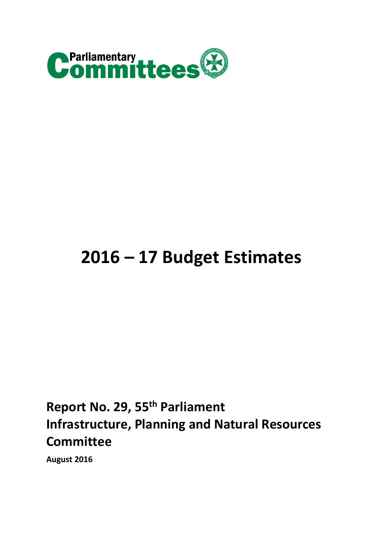

# **2016 – 17 Budget Estimates**

## **Report No. 29, 55th Parliament Infrastructure, Planning and Natural Resources Committee**

**August 2016**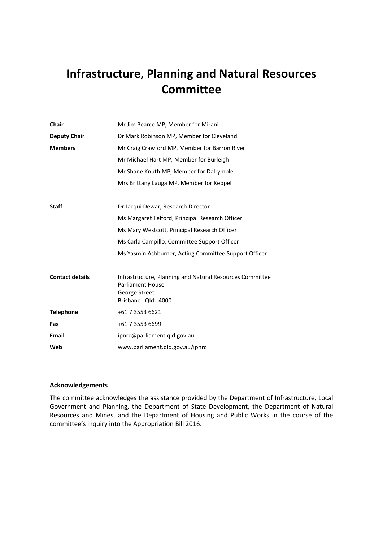## **Infrastructure, Planning and Natural Resources Committee**

| <b>Chair</b><br>Mr Jim Pearce MP, Member for Mirani |                                                                                                                           |  |
|-----------------------------------------------------|---------------------------------------------------------------------------------------------------------------------------|--|
| <b>Deputy Chair</b>                                 | Dr Mark Robinson MP, Member for Cleveland                                                                                 |  |
| <b>Members</b>                                      | Mr Craig Crawford MP, Member for Barron River                                                                             |  |
|                                                     | Mr Michael Hart MP, Member for Burleigh                                                                                   |  |
|                                                     | Mr Shane Knuth MP, Member for Dalrymple                                                                                   |  |
|                                                     | Mrs Brittany Lauga MP, Member for Keppel                                                                                  |  |
| <b>Staff</b>                                        | Dr Jacqui Dewar, Research Director                                                                                        |  |
|                                                     | Ms Margaret Telford, Principal Research Officer                                                                           |  |
|                                                     | Ms Mary Westcott, Principal Research Officer                                                                              |  |
|                                                     | Ms Carla Campillo, Committee Support Officer                                                                              |  |
|                                                     | Ms Yasmin Ashburner, Acting Committee Support Officer                                                                     |  |
| <b>Contact details</b>                              | Infrastructure, Planning and Natural Resources Committee<br><b>Parliament House</b><br>George Street<br>Brisbane Qld 4000 |  |
| <b>Telephone</b>                                    | +61 7 3553 6621                                                                                                           |  |
| Fax                                                 | +61 7 3553 6699                                                                                                           |  |
| <b>Email</b>                                        | ipnrc@parliament.qld.gov.au                                                                                               |  |
| Web                                                 | www.parliament.qld.gov.au/ipnrc                                                                                           |  |

#### **Acknowledgements**

The committee acknowledges the assistance provided by the Department of Infrastructure, Local Government and Planning, the Department of State Development, the Department of Natural Resources and Mines, and the Department of Housing and Public Works in the course of the committee's inquiry into the Appropriation Bill 2016.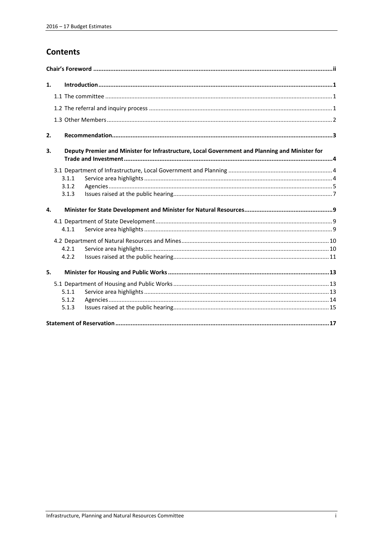## **Contents**

| 1.           |                                                                                                |       |  |  |
|--------------|------------------------------------------------------------------------------------------------|-------|--|--|
|              |                                                                                                |       |  |  |
|              |                                                                                                |       |  |  |
|              |                                                                                                |       |  |  |
|              |                                                                                                |       |  |  |
| 2.           |                                                                                                |       |  |  |
| 3.           | Deputy Premier and Minister for Infrastructure, Local Government and Planning and Minister for |       |  |  |
|              |                                                                                                |       |  |  |
|              |                                                                                                | 3.1.1 |  |  |
|              |                                                                                                | 3.1.2 |  |  |
|              |                                                                                                | 3.1.3 |  |  |
| $\mathbf{4}$ |                                                                                                |       |  |  |
|              |                                                                                                |       |  |  |
|              |                                                                                                | 4.1.1 |  |  |
|              |                                                                                                |       |  |  |
|              |                                                                                                | 4.2.1 |  |  |
|              |                                                                                                | 4.2.2 |  |  |
| 5.           |                                                                                                |       |  |  |
|              |                                                                                                |       |  |  |
|              |                                                                                                | 5.1.1 |  |  |
|              |                                                                                                | 5.1.2 |  |  |
|              |                                                                                                | 5.1.3 |  |  |
|              |                                                                                                |       |  |  |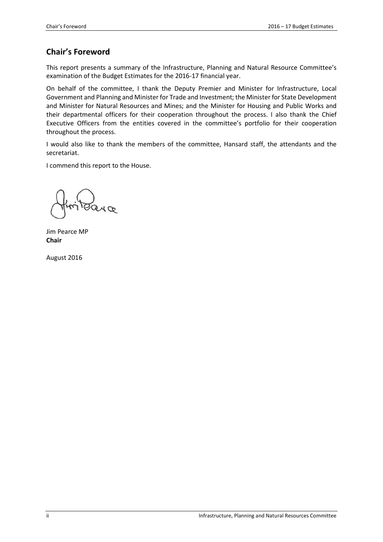## <span id="page-5-0"></span>**Chair's Foreword**

This report presents a summary of the Infrastructure, Planning and Natural Resource Committee's examination of the Budget Estimates for the 2016-17 financial year.

On behalf of the committee, I thank the Deputy Premier and Minister for Infrastructure, Local Government and Planning and Minister for Trade and Investment; the Minister for State Development and Minister for Natural Resources and Mines; and the Minister for Housing and Public Works and their departmental officers for their cooperation throughout the process. I also thank the Chief Executive Officers from the entities covered in the committee's portfolio for their cooperation throughout the process.

I would also like to thank the members of the committee, Hansard staff, the attendants and the secretariat.

I commend this report to the House.

Jim Pearce MP **Chair**

August 2016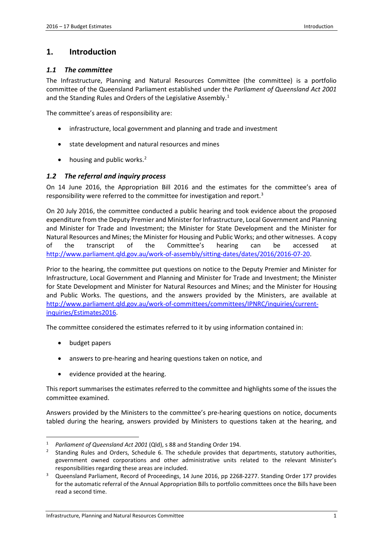## <span id="page-6-0"></span>**1. Introduction**

#### <span id="page-6-1"></span>*1.1 The committee*

The Infrastructure, Planning and Natural Resources Committee (the committee) is a portfolio committee of the Queensland Parliament established under the *Parliament of Queensland Act 2001* and the Standing Rules and Orders of the Legislative Assembly. [1](#page-6-3)

The committee's areas of responsibility are:

- infrastructure, local government and planning and trade and investment
- state development and natural resources and mines
- housing and public works.<sup>[2](#page-6-4)</sup>

#### <span id="page-6-2"></span>*1.2 The referral and inquiry process*

On 14 June 2016, the Appropriation Bill 2016 and the estimates for the committee's area of responsibility were referred to the committee for investigation and report.<sup>[3](#page-6-5)</sup>

On 20 July 2016, the committee conducted a public hearing and took evidence about the proposed expenditure from the Deputy Premier and Minister for Infrastructure, Local Government and Planning and Minister for Trade and Investment; the Minister for State Development and the Minister for Natural Resources and Mines; the Minister for Housing and Public Works; and other witnesses. A copy of the transcript of the Committee's hearing can be accessed at [http://www.parliament.qld.gov.au/work-of-assembly/sitting-dates/dates/2016/2016-07-20.](http://www.parliament.qld.gov.au/work-of-assembly/sitting-dates/dates/2016/2016-07-20)

Prior to the hearing, the committee put questions on notice to the Deputy Premier and Minister for Infrastructure, Local Government and Planning and Minister for Trade and Investment; the Minister for State Development and Minister for Natural Resources and Mines; and the Minister for Housing and Public Works. The questions, and the answers provided by the Ministers, are available at [http://www.parliament.qld.gov.au/work-of-committees/committees/IPNRC/inquiries/current](http://www.parliament.qld.gov.au/work-of-committees/committees/IPNRC/inquiries/current-inquiries/Estimates2016)[inquiries/Estimates2016.](http://www.parliament.qld.gov.au/work-of-committees/committees/IPNRC/inquiries/current-inquiries/Estimates2016)

The committee considered the estimates referred to it by using information contained in:

• budget papers

**.** 

- answers to pre-hearing and hearing questions taken on notice, and
- evidence provided at the hearing.

This report summarises the estimates referred to the committee and highlights some of the issues the committee examined.

Answers provided by the Ministers to the committee's pre-hearing questions on notice, documents tabled during the hearing, answers provided by Ministers to questions taken at the hearing, and

<span id="page-6-3"></span><sup>1</sup> *Parliament of Queensland Act 2001* (Qld), s 88 and Standing Order 194.

<span id="page-6-4"></span><sup>2</sup> Standing Rules and Orders, Schedule 6. The schedule provides that departments, statutory authorities, government owned corporations and other administrative units related to the relevant Minister's responsibilities regarding these areas are included.

<span id="page-6-5"></span><sup>3</sup> Queensland Parliament, Record of Proceedings, 14 June 2016, pp 2268-2277. Standing Order 177 provides for the automatic referral of the Annual Appropriation Bills to portfolio committees once the Bills have been read a second time.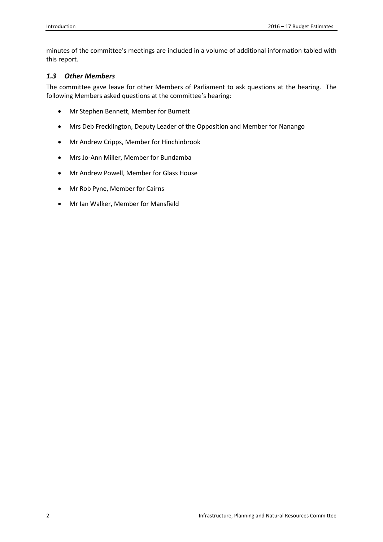minutes of the committee's meetings are included in a volume of additional information tabled with this report.

#### <span id="page-7-0"></span>*1.3 Other Members*

The committee gave leave for other Members of Parliament to ask questions at the hearing. The following Members asked questions at the committee's hearing:

- Mr Stephen Bennett, Member for Burnett
- Mrs Deb Frecklington, Deputy Leader of the Opposition and Member for Nanango
- Mr Andrew Cripps, Member for Hinchinbrook
- Mrs Jo-Ann Miller, Member for Bundamba
- Mr Andrew Powell, Member for Glass House
- Mr Rob Pyne, Member for Cairns
- Mr Ian Walker, Member for Mansfield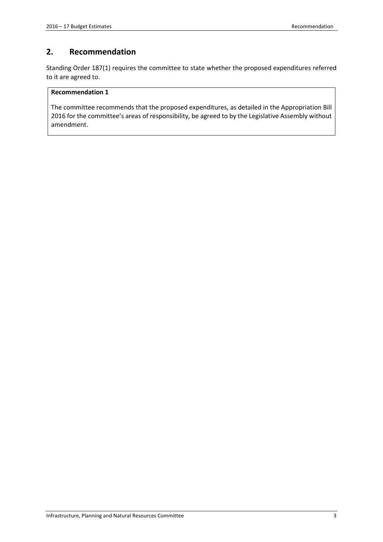### <span id="page-8-0"></span>**2. Recommendation**

Standing Order 187(1) requires the committee to state whether the proposed expenditures referred to it are agreed to.

#### **Recommendation 1**

The committee recommends that the proposed expenditures, as detailed in the Appropriation Bill 2016 for the committee's areas of responsibility, be agreed to by the Legislative Assembly without amendment.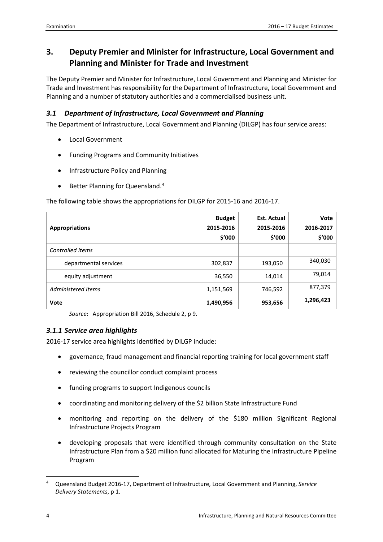## <span id="page-9-0"></span>**3. Deputy Premier and Minister for Infrastructure, Local Government and Planning and Minister for Trade and Investment**

The Deputy Premier and Minister for Infrastructure, Local Government and Planning and Minister for Trade and Investment has responsibility for the Department of Infrastructure, Local Government and Planning and a number of statutory authorities and a commercialised business unit.

## <span id="page-9-1"></span>*3.1 Department of Infrastructure, Local Government and Planning*

The Department of Infrastructure, Local Government and Planning (DILGP) has four service areas:

- Local Government
- Funding Programs and Community Initiatives
- Infrastructure Policy and Planning
- Better Planning for Queensland.<sup>[4](#page-9-3)</sup>

The following table shows the appropriations for DILGP for 2015-16 and 2016-17.

| <b>Appropriations</b> | <b>Budget</b><br>2015-2016<br>\$'000 | <b>Est. Actual</b><br>2015-2016<br>\$′000 | <b>Vote</b><br>2016-2017<br>\$'000 |
|-----------------------|--------------------------------------|-------------------------------------------|------------------------------------|
| Controlled Items      |                                      |                                           |                                    |
| departmental services | 302,837                              | 193,050                                   | 340,030                            |
| equity adjustment     | 36,550                               | 14,014                                    | 79,014                             |
| Administered Items    | 1,151,569                            | 746,592                                   | 877,379                            |
| Vote                  | 1,490,956                            | 953,656                                   | 1,296,423                          |

*Source*: Appropriation Bill 2016, Schedule 2, p 9.

#### <span id="page-9-2"></span>*3.1.1 Service area highlights*

2016-17 service area highlights identified by DILGP include:

- governance, fraud management and financial reporting training for local government staff
- reviewing the councillor conduct complaint process
- funding programs to support Indigenous councils
- coordinating and monitoring delivery of the \$2 billion State Infrastructure Fund
- monitoring and reporting on the delivery of the \$180 million Significant Regional Infrastructure Projects Program
- developing proposals that were identified through community consultation on the State Infrastructure Plan from a \$20 million fund allocated for Maturing the Infrastructure Pipeline Program

<span id="page-9-3"></span><sup>4</sup> Queensland Budget 2016-17, Department of Infrastructure, Local Government and Planning, *Service Delivery Statements*, p 1.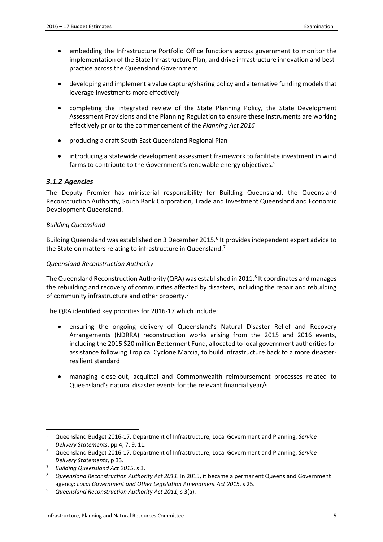- embedding the Infrastructure Portfolio Office functions across government to monitor the implementation of the State Infrastructure Plan, and drive infrastructure innovation and bestpractice across the Queensland Government
- developing and implement a value capture/sharing policy and alternative funding models that leverage investments more effectively
- completing the integrated review of the State Planning Policy, the State Development Assessment Provisions and the Planning Regulation to ensure these instruments are working effectively prior to the commencement of the *Planning Act 2016*
- producing a draft South East Queensland Regional Plan
- introducing a statewide development assessment framework to facilitate investment in wind farms to contribute to the Government's renewable energy objectives. [5](#page-10-1)

#### <span id="page-10-0"></span>*3.1.2 Agencies*

The Deputy Premier has ministerial responsibility for Building Queensland, the Queensland Reconstruction Authority, South Bank Corporation, Trade and Investment Queensland and Economic Development Queensland.

#### *Building Queensland*

Building Queensland was established on 3 December 2015.<sup>[6](#page-10-2)</sup> It provides independent expert advice to the State on matters relating to infrastructure in Queensland.<sup>[7](#page-10-3)</sup>

#### *Queensland Reconstruction Authority*

The Queensland Reconstruction Authority (QRA) was established in 2011.<sup>[8](#page-10-4)</sup> It coordinates and manages the rebuilding and recovery of communities affected by disasters, including the repair and rebuilding of community infrastructure and other property.[9](#page-10-5)

The QRA identified key priorities for 2016-17 which include:

- ensuring the ongoing delivery of Queensland's Natural Disaster Relief and Recovery Arrangements (NDRRA) reconstruction works arising from the 2015 and 2016 events, including the 2015 \$20 million Betterment Fund, allocated to local government authorities for assistance following Tropical Cyclone Marcia, to build infrastructure back to a more disasterresilient standard
- managing close-out, acquittal and Commonwealth reimbursement processes related to Queensland's natural disaster events for the relevant financial year/s

<span id="page-10-1"></span><sup>5</sup> Queensland Budget 2016-17, Department of Infrastructure, Local Government and Planning, *Service Delivery Statements*, pp 4, 7, 9, 11.  $\overline{\phantom{a}}$ 

<span id="page-10-2"></span><sup>6</sup> Queensland Budget 2016-17, Department of Infrastructure, Local Government and Planning, *Service Delivery Statements*, p 33.

<span id="page-10-3"></span><sup>7</sup> *Building Queensland Act 2015*, s 3.

<span id="page-10-4"></span><sup>8</sup> *Queensland Reconstruction Authority Act 2011*. In 2015, it became a permanent Queensland Government agency: *Local Government and Other Legislation Amendment Act 2015*, s 25.

<span id="page-10-5"></span><sup>9</sup> *Queensland Reconstruction Authority Act 2011*, s 3(a).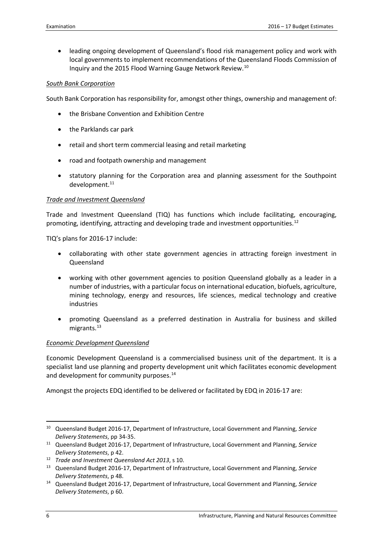• leading ongoing development of Queensland's flood risk management policy and work with local governments to implement recommendations of the Queensland Floods Commission of Inquiry and the 2015 Flood Warning Gauge Network Review.[10](#page-11-0)

#### *South Bank Corporation*

South Bank Corporation has responsibility for, amongst other things, ownership and management of:

- the Brisbane Convention and Exhibition Centre
- the Parklands car park
- retail and short term commercial leasing and retail marketing
- road and footpath ownership and management
- statutory planning for the Corporation area and planning assessment for the Southpoint development.<sup>[11](#page-11-1)</sup>

#### *Trade and Investment Queensland*

Trade and Investment Queensland (TIQ) has functions which include facilitating, encouraging, promoting, identifying, attracting and developing trade and investment opportunities.<sup>[12](#page-11-2)</sup>

TIQ's plans for 2016-17 include:

- collaborating with other state government agencies in attracting foreign investment in Queensland
- working with other government agencies to position Queensland globally as a leader in a number of industries, with a particular focus on international education, biofuels, agriculture, mining technology, energy and resources, life sciences, medical technology and creative industries
- promoting Queensland as a preferred destination in Australia for business and skilled migrants.<sup>[13](#page-11-3)</sup>

#### *Economic Development Queensland*

Economic Development Queensland is a commercialised business unit of the department. It is a specialist land use planning and property development unit which facilitates economic development and development for community purposes. [14](#page-11-4)

Amongst the projects EDQ identified to be delivered or facilitated by EDQ in 2016-17 are:

**.** 

<span id="page-11-0"></span><sup>10</sup> Queensland Budget 2016-17, Department of Infrastructure, Local Government and Planning, *Service Delivery Statements*, pp 34-35.

<span id="page-11-1"></span><sup>11</sup> Queensland Budget 2016-17, Department of Infrastructure, Local Government and Planning, *Service Delivery Statements*, p 42.

<span id="page-11-2"></span><sup>12</sup> *Trade and Investment Queensland Act 2013*, s 10.

<span id="page-11-3"></span><sup>13</sup> Queensland Budget 2016-17, Department of Infrastructure, Local Government and Planning, *Service Delivery Statements*, p 48.

<span id="page-11-4"></span><sup>14</sup> Queensland Budget 2016-17, Department of Infrastructure, Local Government and Planning, *Service Delivery Statements*, p 60.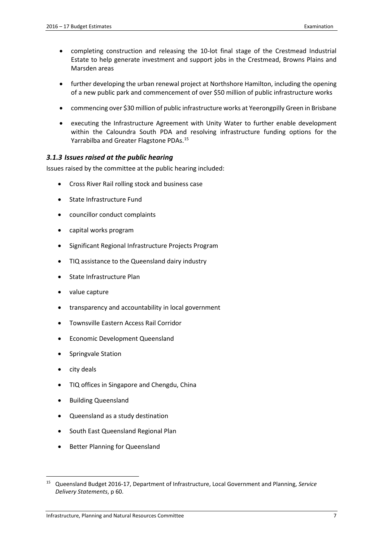- completing construction and releasing the 10-lot final stage of the Crestmead Industrial Estate to help generate investment and support jobs in the Crestmead, Browns Plains and Marsden areas
- further developing the urban renewal project at Northshore Hamilton, including the opening of a new public park and commencement of over \$50 million of public infrastructure works
- commencing over \$30 million of public infrastructure works at Yeerongpilly Green in Brisbane
- executing the Infrastructure Agreement with Unity Water to further enable development within the Caloundra South PDA and resolving infrastructure funding options for the Yarrabilba and Greater Flagstone PDAs.[15](#page-12-1)

#### <span id="page-12-0"></span>*3.1.3 Issues raised at the public hearing*

Issues raised by the committee at the public hearing included:

- Cross River Rail rolling stock and business case
- State Infrastructure Fund
- councillor conduct complaints
- capital works program
- Significant Regional Infrastructure Projects Program
- TIQ assistance to the Queensland dairy industry
- State Infrastructure Plan
- value capture
- transparency and accountability in local government
- Townsville Eastern Access Rail Corridor
- Economic Development Queensland
- Springvale Station
- city deals

- TIQ offices in Singapore and Chengdu, China
- Building Queensland
- Queensland as a study destination
- South East Queensland Regional Plan
- Better Planning for Queensland

<span id="page-12-1"></span><sup>15</sup> Queensland Budget 2016-17, Department of Infrastructure, Local Government and Planning, *Service Delivery Statements*, p 60.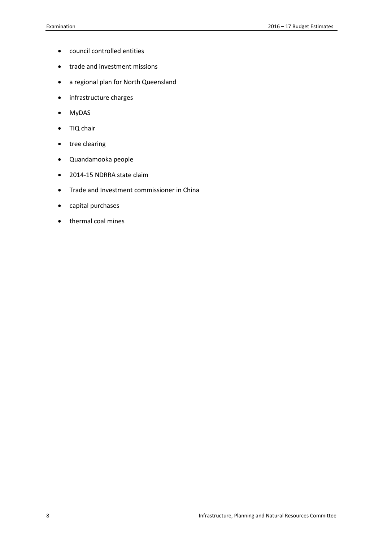- council controlled entities
- trade and investment missions
- a regional plan for North Queensland
- infrastructure charges
- MyDAS
- TIQ chair
- tree clearing
- Quandamooka people
- 2014-15 NDRRA state claim
- Trade and Investment commissioner in China
- capital purchases
- thermal coal mines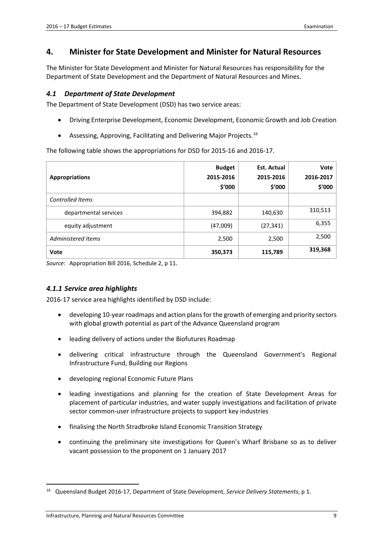## <span id="page-14-0"></span>**4. Minister for State Development and Minister for Natural Resources**

The Minister for State Development and Minister for Natural Resources has responsibility for the Department of State Development and the Department of Natural Resources and Mines.

#### <span id="page-14-1"></span>*4.1 Department of State Development*

The Department of State Development (DSD) has two service areas:

- Driving Enterprise Development, Economic Development, Economic Growth and Job Creation
- Assessing, Approving, Facilitating and Delivering Major Projects.<sup>[16](#page-14-3)</sup>

The following table shows the appropriations for DSD for 2015-16 and 2016-17.

| <b>Appropriations</b>     | <b>Budget</b><br>2015-2016<br>\$'000 | <b>Est. Actual</b><br>2015-2016<br>\$'000 | Vote<br>2016-2017<br>\$'000 |
|---------------------------|--------------------------------------|-------------------------------------------|-----------------------------|
| Controlled Items          |                                      |                                           |                             |
| departmental services     | 394,882                              | 140,630                                   | 310,513                     |
| equity adjustment         | (47,009)                             | (27, 341)                                 | 6,355                       |
| <b>Administered Items</b> | 2,500                                | 2,500                                     | 2,500                       |
| Vote                      | 350,373                              | 115,789                                   | 319,368                     |

*Source*: Appropriation Bill 2016, Schedule 2, p 11.

#### <span id="page-14-2"></span>*4.1.1 Service area highlights*

2016-17 service area highlights identified by DSD include:

- developing 10-year roadmaps and action plans for the growth of emerging and priority sectors with global growth potential as part of the Advance Queensland program
- leading delivery of actions under the Biofutures Roadmap
- delivering critical infrastructure through the Queensland Government's Regional Infrastructure Fund, Building our Regions
- developing regional Economic Future Plans
- leading investigations and planning for the creation of State Development Areas for placement of particular industries, and water supply investigations and facilitation of private sector common-user infrastructure projects to support key industries
- finalising the North Stradbroke Island Economic Transition Strategy
- continuing the preliminary site investigations for Queen's Wharf Brisbane so as to deliver vacant possession to the proponent on 1 January 2017

<span id="page-14-3"></span><sup>16</sup> Queensland Budget 2016-17, Department of State Development, *Service Delivery Statements*, p 1.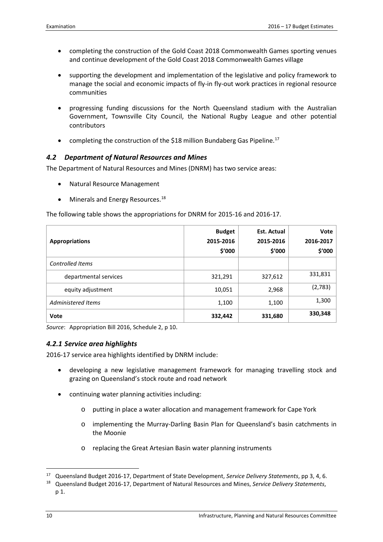- completing the construction of the Gold Coast 2018 Commonwealth Games sporting venues and continue development of the Gold Coast 2018 Commonwealth Games village
- supporting the development and implementation of the legislative and policy framework to manage the social and economic impacts of fly-in fly-out work practices in regional resource communities
- progressing funding discussions for the North Queensland stadium with the Australian Government, Townsville City Council, the National Rugby League and other potential contributors
- completing the construction of the \$18 million Bundaberg Gas Pipeline.<sup>17</sup>

#### <span id="page-15-0"></span>*4.2 Department of Natural Resources and Mines*

The Department of Natural Resources and Mines (DNRM) has two service areas:

- Natural Resource Management
- Minerals and Energy Resources.<sup>[18](#page-15-3)</sup>

The following table shows the appropriations for DNRM for 2015-16 and 2016-17.

| <b>Appropriations</b>   | <b>Budget</b><br>2015-2016<br>\$'000 | <b>Est. Actual</b><br>2015-2016<br>\$′000 | Vote<br>2016-2017<br>\$'000 |
|-------------------------|--------------------------------------|-------------------------------------------|-----------------------------|
| <b>Controlled Items</b> |                                      |                                           |                             |
| departmental services   | 321,291                              | 327,612                                   | 331,831                     |
| equity adjustment       | 10,051                               | 2,968                                     | (2,783)                     |
| Administered Items      | 1,100                                | 1,100                                     | 1,300                       |
| Vote                    | 332,442                              | 331,680                                   | 330,348                     |

<span id="page-15-1"></span>*Source*: Appropriation Bill 2016, Schedule 2, p 10.

#### *4.2.1 Service area highlights*

2016-17 service area highlights identified by DNRM include:

- developing a new legislative management framework for managing travelling stock and grazing on Queensland's stock route and road network
- continuing water planning activities including:
	- o putting in place a water allocation and management framework for Cape York
	- o implementing the Murray-Darling Basin Plan for Queensland's basin catchments in the Moonie
	- o replacing the Great Artesian Basin water planning instruments

<span id="page-15-2"></span><sup>17</sup> Queensland Budget 2016-17, Department of State Development, *Service Delivery Statements*, pp 3, 4, 6.

<span id="page-15-3"></span><sup>18</sup> Queensland Budget 2016-17, Department of Natural Resources and Mines, *Service Delivery Statements*, p 1.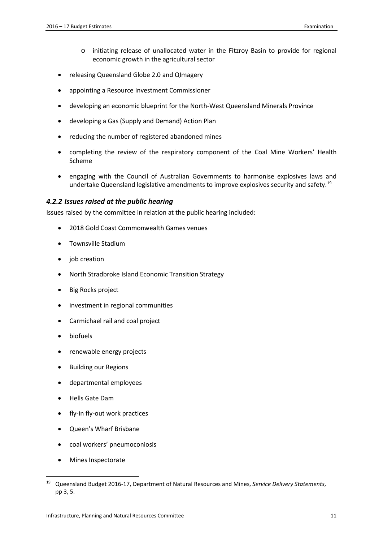- o initiating release of unallocated water in the Fitzroy Basin to provide for regional economic growth in the agricultural sector
- releasing Queensland Globe 2.0 and QImagery
- appointing a Resource Investment Commissioner
- developing an economic blueprint for the North-West Queensland Minerals Province
- developing a Gas (Supply and Demand) Action Plan
- reducing the number of registered abandoned mines
- completing the review of the respiratory component of the Coal Mine Workers' Health Scheme
- engaging with the Council of Australian Governments to harmonise explosives laws and undertake Queensland legislative amendments to improve explosives security and safety.<sup>[19](#page-16-1)</sup>

#### <span id="page-16-0"></span>*4.2.2 Issues raised at the public hearing*

Issues raised by the committee in relation at the public hearing included:

- 2018 Gold Coast Commonwealth Games venues
- Townsville Stadium
- job creation
- North Stradbroke Island Economic Transition Strategy
- Big Rocks project
- investment in regional communities
- Carmichael rail and coal project
- biofuels
- renewable energy projects
- Building our Regions
- departmental employees
- Hells Gate Dam
- fly-in fly-out work practices
- Queen's Wharf Brisbane
- coal workers' pneumoconiosis
- Mines Inspectorate

<span id="page-16-1"></span><sup>19</sup> Queensland Budget 2016-17, Department of Natural Resources and Mines, *Service Delivery Statements*, pp 3, 5.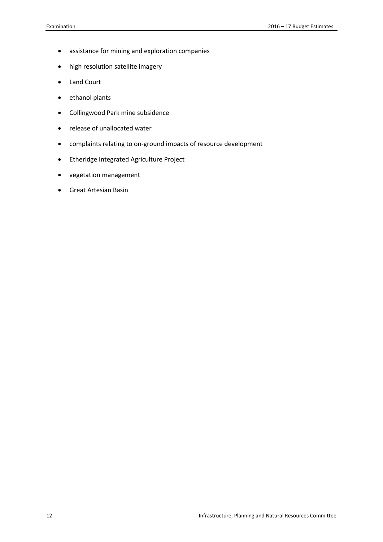- assistance for mining and exploration companies
- high resolution satellite imagery
- Land Court
- ethanol plants
- Collingwood Park mine subsidence
- release of unallocated water
- complaints relating to on-ground impacts of resource development
- Etheridge Integrated Agriculture Project
- vegetation management
- Great Artesian Basin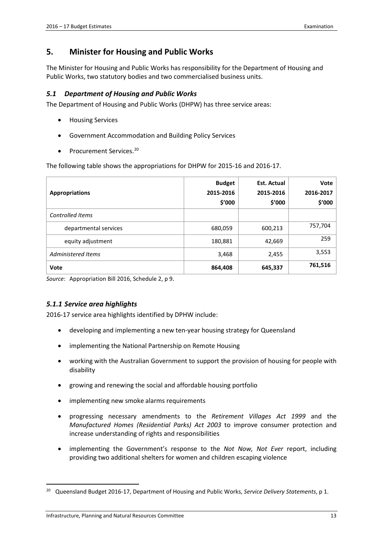## <span id="page-18-0"></span>**5. Minister for Housing and Public Works**

The Minister for Housing and Public Works has responsibility for the Department of Housing and Public Works, two statutory bodies and two commercialised business units.

#### <span id="page-18-1"></span>*5.1 Department of Housing and Public Works*

The Department of Housing and Public Works (DHPW) has three service areas:

- Housing Services
- Government Accommodation and Building Policy Services
- Procurement Services.<sup>[20](#page-18-3)</sup>

The following table shows the appropriations for DHPW for 2015-16 and 2016-17.

| <b>Appropriations</b>     | <b>Budget</b><br>2015-2016<br>\$'000 | <b>Est. Actual</b><br>2015-2016<br>\$′000 | Vote<br>2016-2017<br>\$'000 |
|---------------------------|--------------------------------------|-------------------------------------------|-----------------------------|
| Controlled Items          |                                      |                                           |                             |
| departmental services     | 680,059                              | 600,213                                   | 757,704                     |
| equity adjustment         | 180,881                              | 42,669                                    | 259                         |
| <b>Administered Items</b> | 3,468                                | 2,455                                     | 3,553                       |
| Vote                      | 864,408                              | 645,337                                   | 761,516                     |

*Source*: Appropriation Bill 2016, Schedule 2, p 9.

#### <span id="page-18-2"></span>*5.1.1 Service area highlights*

2016-17 service area highlights identified by DPHW include:

- developing and implementing a new ten-year housing strategy for Queensland
- implementing the National Partnership on Remote Housing
- working with the Australian Government to support the provision of housing for people with disability
- growing and renewing the social and affordable housing portfolio
- implementing new smoke alarms requirements
- progressing necessary amendments to the *Retirement Villages Act 1999* and the *Manufactured Homes (Residential Parks) Act 2003* to improve consumer protection and increase understanding of rights and responsibilities
- implementing the Government's response to the *Not Now, Not Ever* report, including providing two additional shelters for women and children escaping violence

<span id="page-18-3"></span><sup>20</sup> Queensland Budget 2016-17, Department of Housing and Public Works, *Service Delivery Statements*, p 1.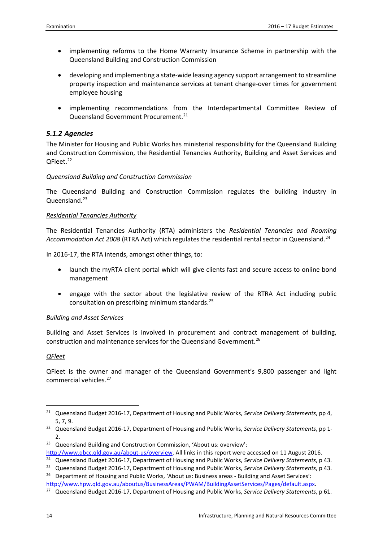- implementing reforms to the Home Warranty Insurance Scheme in partnership with the Queensland Building and Construction Commission
- developing and implementing a state-wide leasing agency support arrangement to streamline property inspection and maintenance services at tenant change-over times for government employee housing
- implementing recommendations from the Interdepartmental Committee Review of Queensland Government Procurement.<sup>[21](#page-19-1)</sup>

#### <span id="page-19-0"></span>*5.1.2 Agencies*

The Minister for Housing and Public Works has ministerial responsibility for the Queensland Building and Construction Commission, the Residential Tenancies Authority, Building and Asset Services and QFleet.<sup>[22](#page-19-2)</sup>

#### *Queensland Building and Construction Commission*

The Queensland Building and Construction Commission regulates the building industry in Queensland.<sup>[23](#page-19-3)</sup>

#### *Residential Tenancies Authority*

The Residential Tenancies Authority (RTA) administers the *Residential Tenancies and Rooming*  Accommodation Act 2008 (RTRA Act) which regulates the residential rental sector in Queensland.<sup>24</sup>

In 2016-17, the RTA intends, amongst other things, to:

- launch the myRTA client portal which will give clients fast and secure access to online bond management
- engage with the sector about the legislative review of the RTRA Act including public consultation on prescribing minimum standards.[25](#page-19-5)

#### *Building and Asset Services*

Building and Asset Services is involved in procurement and contract management of building, construction and maintenance services for the Queensland Government.[26](#page-19-6)

#### *QFleet*

**.** 

QFleet is the owner and manager of the Queensland Government's 9,800 passenger and light commercial vehicles.<sup>[27](#page-19-7)</sup>

<span id="page-19-1"></span><sup>21</sup> Queensland Budget 2016-17, Department of Housing and Public Works, *Service Delivery Statements*, pp 4, 5, 7, 9.

<span id="page-19-2"></span><sup>22</sup> Queensland Budget 2016-17, Department of Housing and Public Works, *Service Delivery Statements*, pp 1-  $\mathcal{P}$ 

<span id="page-19-3"></span><sup>23</sup> Queensland Building and Construction Commission, 'About us: overview':

[http://www.qbcc.qld.gov.au/about-us/overview.](http://www.qbcc.qld.gov.au/about-us/overview) All links in this report were accessed on 11 August 2016.

<span id="page-19-4"></span><sup>24</sup> Queensland Budget 2016-17, Department of Housing and Public Works, *Service Delivery Statements*, p 43.

<span id="page-19-5"></span><sup>25</sup> Queensland Budget 2016-17, Department of Housing and Public Works, *Service Delivery Statements*, p 43.

<span id="page-19-6"></span><sup>&</sup>lt;sup>26</sup> Department of Housing and Public Works, 'About us: Business areas - Building and Asset Services': [http://www.hpw.qld.gov.au/aboutus/BusinessAreas/PWAM/BuildingAssetServices/Pages/default.aspx.](http://www.hpw.qld.gov.au/aboutus/BusinessAreas/PWAM/BuildingAssetServices/Pages/default.aspx)

<span id="page-19-7"></span><sup>27</sup> Queensland Budget 2016-17, Department of Housing and Public Works, *Service Delivery Statements*, p 61.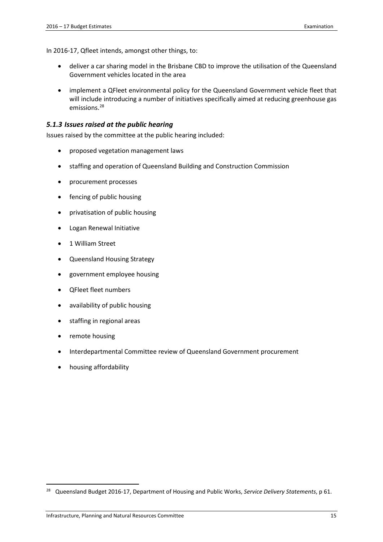In 2016-17, Qfleet intends, amongst other things, to:

- deliver a car sharing model in the Brisbane CBD to improve the utilisation of the Queensland Government vehicles located in the area
- implement a QFleet environmental policy for the Queensland Government vehicle fleet that will include introducing a number of initiatives specifically aimed at reducing greenhouse gas emissions.[28](#page-20-1)

#### <span id="page-20-0"></span>*5.1.3 Issues raised at the public hearing*

Issues raised by the committee at the public hearing included:

- proposed vegetation management laws
- staffing and operation of Queensland Building and Construction Commission
- procurement processes
- fencing of public housing
- privatisation of public housing
- Logan Renewal Initiative
- 1 William Street
- Queensland Housing Strategy
- government employee housing
- QFleet fleet numbers
- availability of public housing
- staffing in regional areas
- remote housing

- Interdepartmental Committee review of Queensland Government procurement
- housing affordability

<span id="page-20-1"></span><sup>28</sup> Queensland Budget 2016-17, Department of Housing and Public Works, *Service Delivery Statements*, p 61.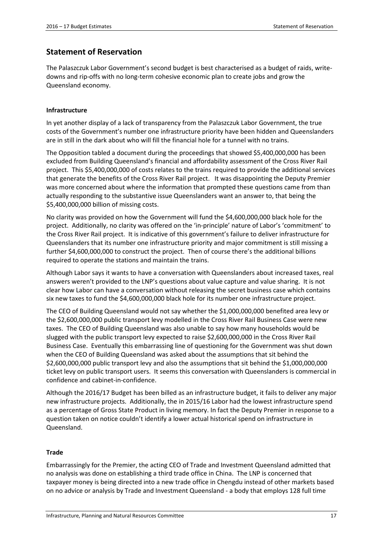## <span id="page-22-0"></span>**Statement of Reservation**

The Palaszczuk Labor Government's second budget is best characterised as a budget of raids, writedowns and rip-offs with no long-term cohesive economic plan to create jobs and grow the Queensland economy.

#### **Infrastructure**

In yet another display of a lack of transparency from the Palaszczuk Labor Government, the true costs of the Government's number one infrastructure priority have been hidden and Queenslanders are in still in the dark about who will fill the financial hole for a tunnel with no trains.

The Opposition tabled a document during the proceedings that showed \$5,400,000,000 has been excluded from Building Queensland's financial and affordability assessment of the Cross River Rail project. This \$5,400,000,000 of costs relates to the trains required to provide the additional services that generate the benefits of the Cross River Rail project. It was disappointing the Deputy Premier was more concerned about where the information that prompted these questions came from than actually responding to the substantive issue Queenslanders want an answer to, that being the \$5,400,000,000 billion of missing costs.

No clarity was provided on how the Government will fund the \$4,600,000,000 black hole for the project. Additionally, no clarity was offered on the 'in-principle' nature of Labor's 'commitment' to the Cross River Rail project. It is indicative of this government's failure to deliver infrastructure for Queenslanders that its number one infrastructure priority and major commitment is still missing a further \$4,600,000,000 to construct the project. Then of course there's the additional billions required to operate the stations and maintain the trains.

Although Labor says it wants to have a conversation with Queenslanders about increased taxes, real answers weren't provided to the LNP's questions about value capture and value sharing. It is not clear how Labor can have a conversation without releasing the secret business case which contains six new taxes to fund the \$4,600,000,000 black hole for its number one infrastructure project.

The CEO of Building Queensland would not say whether the \$1,000,000,000 benefited area levy or the \$2,600,000,000 public transport levy modelled in the Cross River Rail Business Case were new taxes. The CEO of Building Queensland was also unable to say how many households would be slugged with the public transport levy expected to raise \$2,600,000,000 in the Cross River Rail Business Case. Eventually this embarrassing line of questioning for the Government was shut down when the CEO of Building Queensland was asked about the assumptions that sit behind the \$2,600,000,000 public transport levy and also the assumptions that sit behind the \$1,000,000,000 ticket levy on public transport users. It seems this conversation with Queenslanders is commercial in confidence and cabinet-in-confidence.

Although the 2016/17 Budget has been billed as an infrastructure budget, it fails to deliver any major new infrastructure projects. Additionally, the in 2015/16 Labor had the lowest infrastructure spend as a percentage of Gross State Product in living memory. In fact the Deputy Premier in response to a question taken on notice couldn't identify a lower actual historical spend on infrastructure in Queensland.

#### **Trade**

Embarrassingly for the Premier, the acting CEO of Trade and Investment Queensland admitted that no analysis was done on establishing a third trade office in China. The LNP is concerned that taxpayer money is being directed into a new trade office in Chengdu instead of other markets based on no advice or analysis by Trade and Investment Queensland - a body that employs 128 full time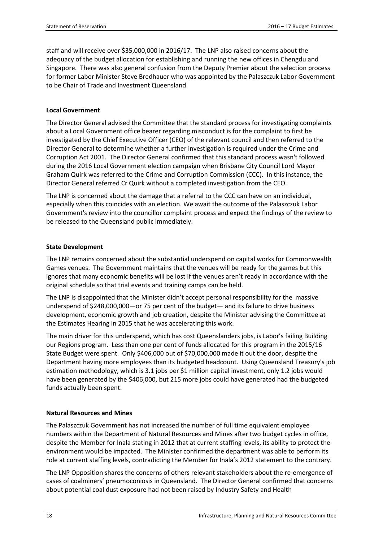staff and will receive over \$35,000,000 in 2016/17. The LNP also raised concerns about the adequacy of the budget allocation for establishing and running the new offices in Chengdu and Singapore. There was also general confusion from the Deputy Premier about the selection process for former Labor Minister Steve Bredhauer who was appointed by the Palaszczuk Labor Government to be Chair of Trade and Investment Queensland.

#### **Local Government**

The Director General advised the Committee that the standard process for investigating complaints about a Local Government office bearer regarding misconduct is for the complaint to first be investigated by the Chief Executive Officer (CEO) of the relevant council and then referred to the Director General to determine whether a further investigation is required under the Crime and Corruption Act 2001. The Director General confirmed that this standard process wasn't followed during the 2016 Local Government election campaign when Brisbane City Council Lord Mayor Graham Quirk was referred to the Crime and Corruption Commission (CCC). In this instance, the Director General referred Cr Quirk without a completed investigation from the CEO.

The LNP is concerned about the damage that a referral to the CCC can have on an individual, especially when this coincides with an election. We await the outcome of the Palaszczuk Labor Government's review into the councillor complaint process and expect the findings of the review to be released to the Queensland public immediately.

#### **State Development**

The LNP remains concerned about the substantial underspend on capital works for Commonwealth Games venues. The Government maintains that the venues will be ready for the games but this ignores that many economic benefits will be lost if the venues aren't ready in accordance with the original schedule so that trial events and training camps can be held.

The LNP is disappointed that the Minister didn't accept personal responsibility for the massive underspend of \$248,000,000—or 75 per cent of the budget— and its failure to drive business development, economic growth and job creation, despite the Minister advising the Committee at the Estimates Hearing in 2015 that he was accelerating this work.

The main driver for this underspend, which has cost Queenslanders jobs, is Labor's failing Building our Regions program. Less than one per cent of funds allocated for this program in the 2015/16 State Budget were spent. Only \$406,000 out of \$70,000,000 made it out the door, despite the Department having more employees than its budgeted headcount. Using Queensland Treasury's job estimation methodology, which is 3.1 jobs per \$1 million capital investment, only 1.2 jobs would have been generated by the \$406,000, but 215 more jobs could have generated had the budgeted funds actually been spent.

#### **Natural Resources and Mines**

The Palaszczuk Government has not increased the number of full time equivalent employee numbers within the Department of Natural Resources and Mines after two budget cycles in office, despite the Member for Inala stating in 2012 that at current staffing levels, its ability to protect the environment would be impacted. The Minister confirmed the department was able to perform its role at current staffing levels, contradicting the Member for Inala's 2012 statement to the contrary.

The LNP Opposition shares the concerns of others relevant stakeholders about the re-emergence of cases of coalminers' pneumoconiosis in Queensland. The Director General confirmed that concerns about potential coal dust exposure had not been raised by Industry Safety and Health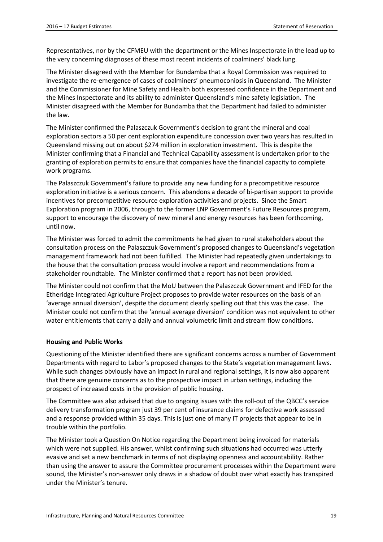Representatives, nor by the CFMEU with the department or the Mines Inspectorate in the lead up to the very concerning diagnoses of these most recent incidents of coalminers' black lung.

The Minister disagreed with the Member for Bundamba that a Royal Commission was required to investigate the re-emergence of cases of coalminers' pneumoconiosis in Queensland. The Minister and the Commissioner for Mine Safety and Health both expressed confidence in the Department and the Mines Inspectorate and its ability to administer Queensland's mine safety legislation. The Minister disagreed with the Member for Bundamba that the Department had failed to administer the law.

The Minister confirmed the Palaszczuk Government's decision to grant the mineral and coal exploration sectors a 50 per cent exploration expenditure concession over two years has resulted in Queensland missing out on about \$274 million in exploration investment. This is despite the Minister confirming that a Financial and Technical Capability assessment is undertaken prior to the granting of exploration permits to ensure that companies have the financial capacity to complete work programs.

The Palaszczuk Government's failure to provide any new funding for a precompetitive resource exploration initiative is a serious concern. This abandons a decade of bi-partisan support to provide incentives for precompetitive resource exploration activities and projects. Since the Smart Exploration program in 2006, through to the former LNP Government's Future Resources program, support to encourage the discovery of new mineral and energy resources has been forthcoming, until now.

The Minister was forced to admit the commitments he had given to rural stakeholders about the consultation process on the Palaszczuk Government's proposed changes to Queensland's vegetation management framework had not been fulfilled. The Minister had repeatedly given undertakings to the house that the consultation process would involve a report and recommendations from a stakeholder roundtable. The Minister confirmed that a report has not been provided.

The Minister could not confirm that the MoU between the Palaszczuk Government and IFED for the Etheridge Integrated Agriculture Project proposes to provide water resources on the basis of an 'average annual diversion', despite the document clearly spelling out that this was the case. The Minister could not confirm that the 'annual average diversion' condition was not equivalent to other water entitlements that carry a daily and annual volumetric limit and stream flow conditions.

#### **Housing and Public Works**

Questioning of the Minister identified there are significant concerns across a number of Government Departments with regard to Labor's proposed changes to the State's vegetation management laws. While such changes obviously have an impact in rural and regional settings, it is now also apparent that there are genuine concerns as to the prospective impact in urban settings, including the prospect of increased costs in the provision of public housing.

The Committee was also advised that due to ongoing issues with the roll-out of the QBCC's service delivery transformation program just 39 per cent of insurance claims for defective work assessed and a response provided within 35 days. This is just one of many IT projects that appear to be in trouble within the portfolio.

The Minister took a Question On Notice regarding the Department being invoiced for materials which were not supplied. His answer, whilst confirming such situations had occurred was utterly evasive and set a new benchmark in terms of not displaying openness and accountability. Rather than using the answer to assure the Committee procurement processes within the Department were sound, the Minister's non-answer only draws in a shadow of doubt over what exactly has transpired under the Minister's tenure.